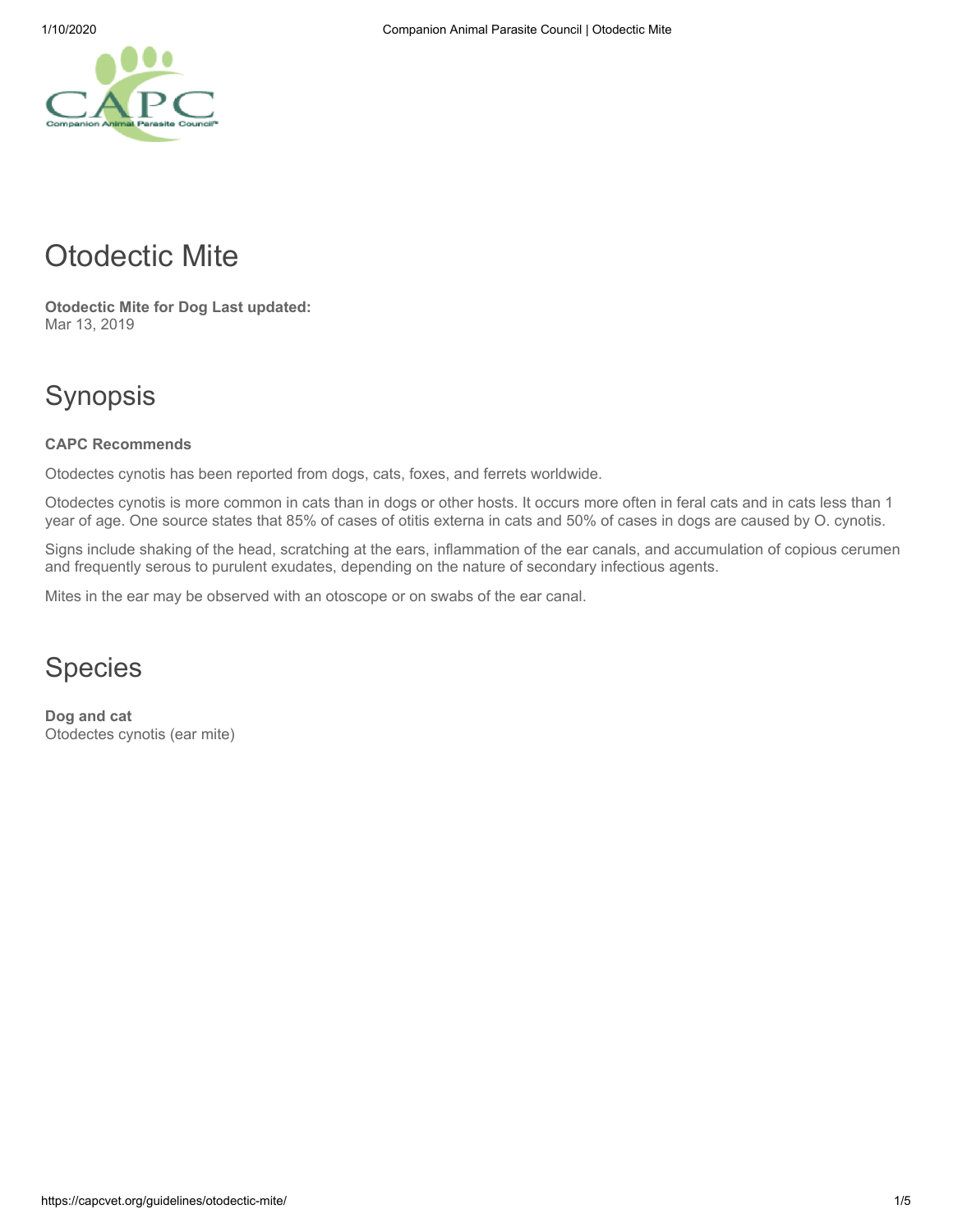# Otodectic Mite

**Otodectic Mite for Dog Last updated:** Mar 13, 2019

## Synopsis

#### **CAPC Recommends**

Otodectes cynotis has been reported from dogs, cats, foxes, and ferrets worldwide.

Otodectes cynotis is more common in cats than in dogs or other hosts. It occurs more often in feral cats and in cats less than 1 year of age. One source states that 85% of cases of otitis externa in cats and 50% of cases in dogs are caused by O. cynotis.

Signs include shaking of the head, scratching at the ears, inflammation of the ear canals, and accumulation of copious cerumen and frequently serous to purulent exudates, depending on the nature of secondary infectious agents.

Mites in the ear may be observed with an otoscope or on swabs of the ear canal.

#### Species

**Dog and cat** Otodectes cynotis (ear mite)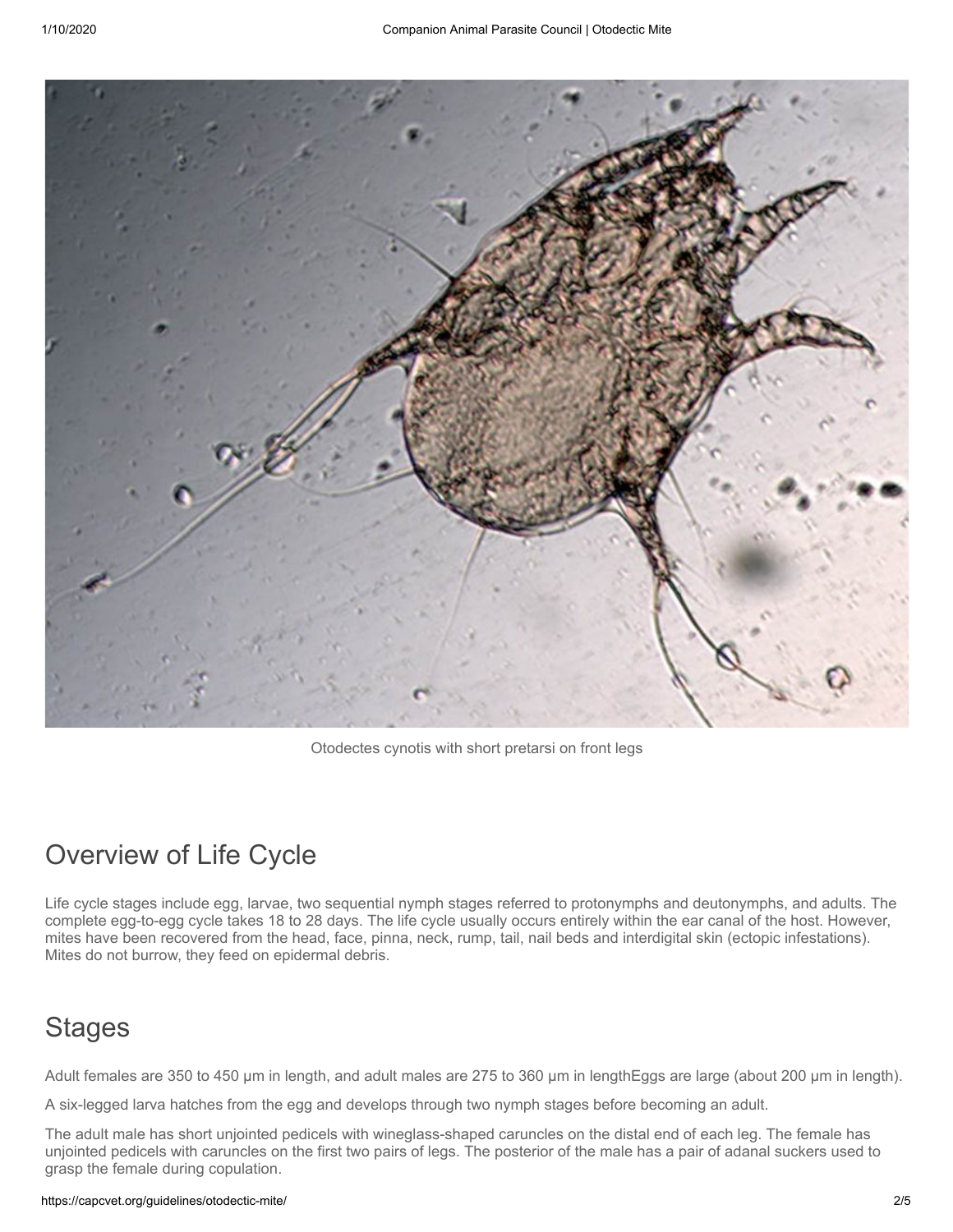

Otodectes cynotis with short pretarsi on front legs

# Overview of Life Cycle

Life cycle stages include egg, larvae, two sequential nymph stages referred to protonymphs and deutonymphs, and adults. The complete egg-to-egg cycle takes 18 to 28 days. The life cycle usually occurs entirely within the ear canal of the host. However, mites have been recovered from the head, face, pinna, neck, rump, tail, nail beds and interdigital skin (ectopic infestations). Mites do not burrow, they feed on epidermal debris.

# **Stages**

Adult females are 350 to 450 μm in length, and adult males are 275 to 360 μm in lengthEggs are large (about 200 μm in length).

A six-legged larva hatches from the egg and develops through two nymph stages before becoming an adult.

The adult male has short unjointed pedicels with wineglass-shaped caruncles on the distal end of each leg. The female has unjointed pedicels with caruncles on the first two pairs of legs. The posterior of the male has a pair of adanal suckers used to grasp the female during copulation.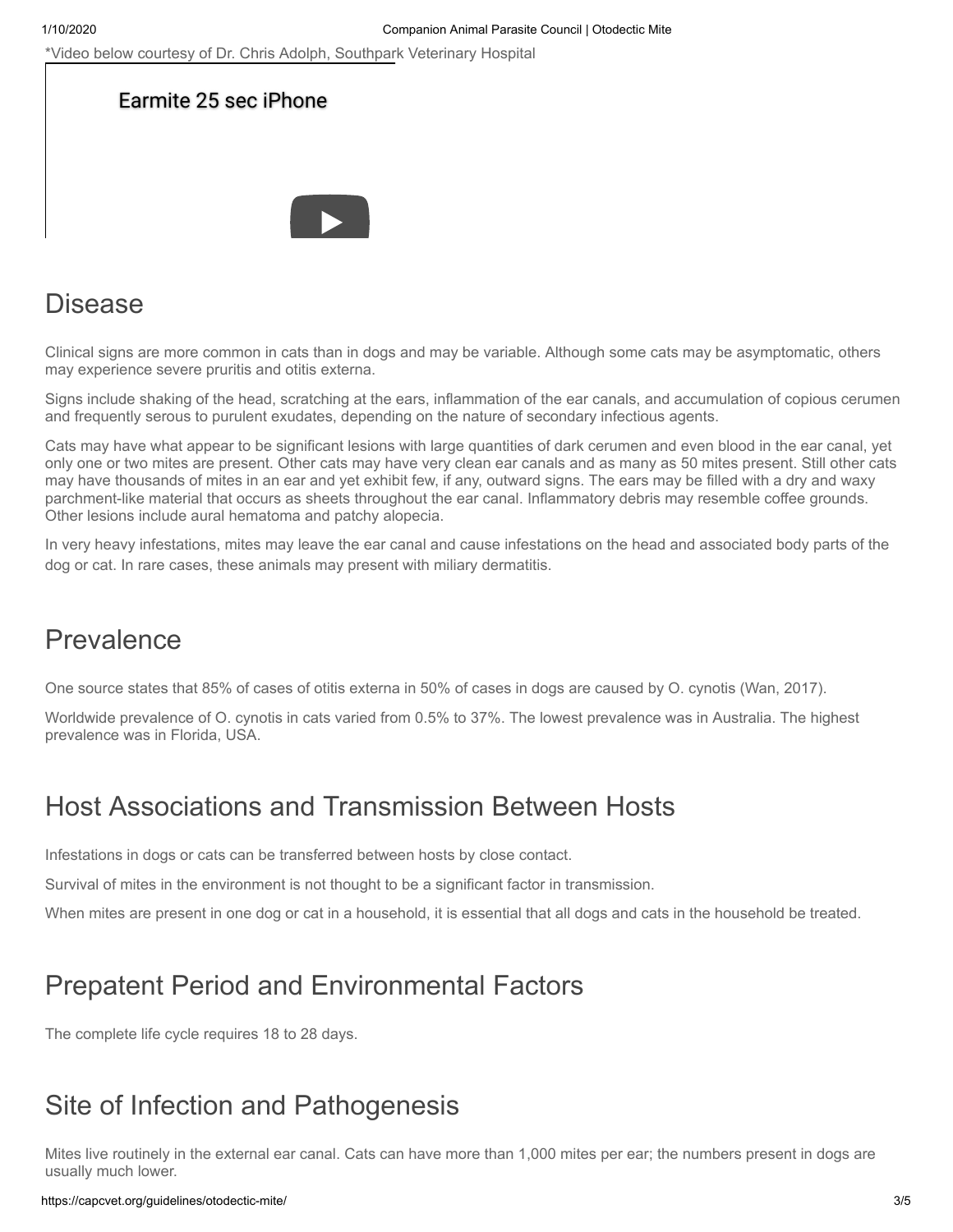\*Video below courtesy of Dr. Chris Adolph, Southpark Veterinary Hospital





#### Disease

Clinical signs are more common in cats than in dogs and may be variable. Although some cats may be asymptomatic, others may experience severe pruritis and otitis externa.

Signs include shaking of the head, scratching at the ears, inflammation of the ear canals, and accumulation of copious cerumen and frequently serous to purulent exudates, depending on the nature of secondary infectious agents.

Cats may have what appear to be significant lesions with large quantities of dark cerumen and even blood in the ear canal, yet only one or two mites are present. Other cats may have very clean ear canals and as many as 50 mites present. Still other cats may have thousands of mites in an ear and yet exhibit few, if any, outward signs. The ears may be filled with a dry and waxy parchment-like material that occurs as sheets throughout the ear canal. Inflammatory debris may resemble coffee grounds. Other lesions include aural hematoma and patchy alopecia.

In very heavy infestations, mites may leave the ear canal and cause infestations on the head and associated body parts of the dog or cat. In rare cases, these animals may present with miliary dermatitis.

# Prevalence

One source states that 85% of cases of otitis externa in 50% of cases in dogs are caused by O. cynotis (Wan, 2017).

Worldwide prevalence of O. cynotis in cats varied from 0.5% to 37%. The lowest prevalence was in Australia. The highest prevalence was in Florida, USA.

### Host Associations and Transmission Between Hosts

Infestations in dogs or cats can be transferred between hosts by close contact.

Survival of mites in the environment is not thought to be a significant factor in transmission.

When mites are present in one dog or cat in a household, it is essential that all dogs and cats in the household be treated.

### Prepatent Period and Environmental Factors

The complete life cycle requires 18 to 28 days.

# Site of Infection and Pathogenesis

Mites live routinely in the external ear canal. Cats can have more than 1,000 mites per ear; the numbers present in dogs are usually much lower.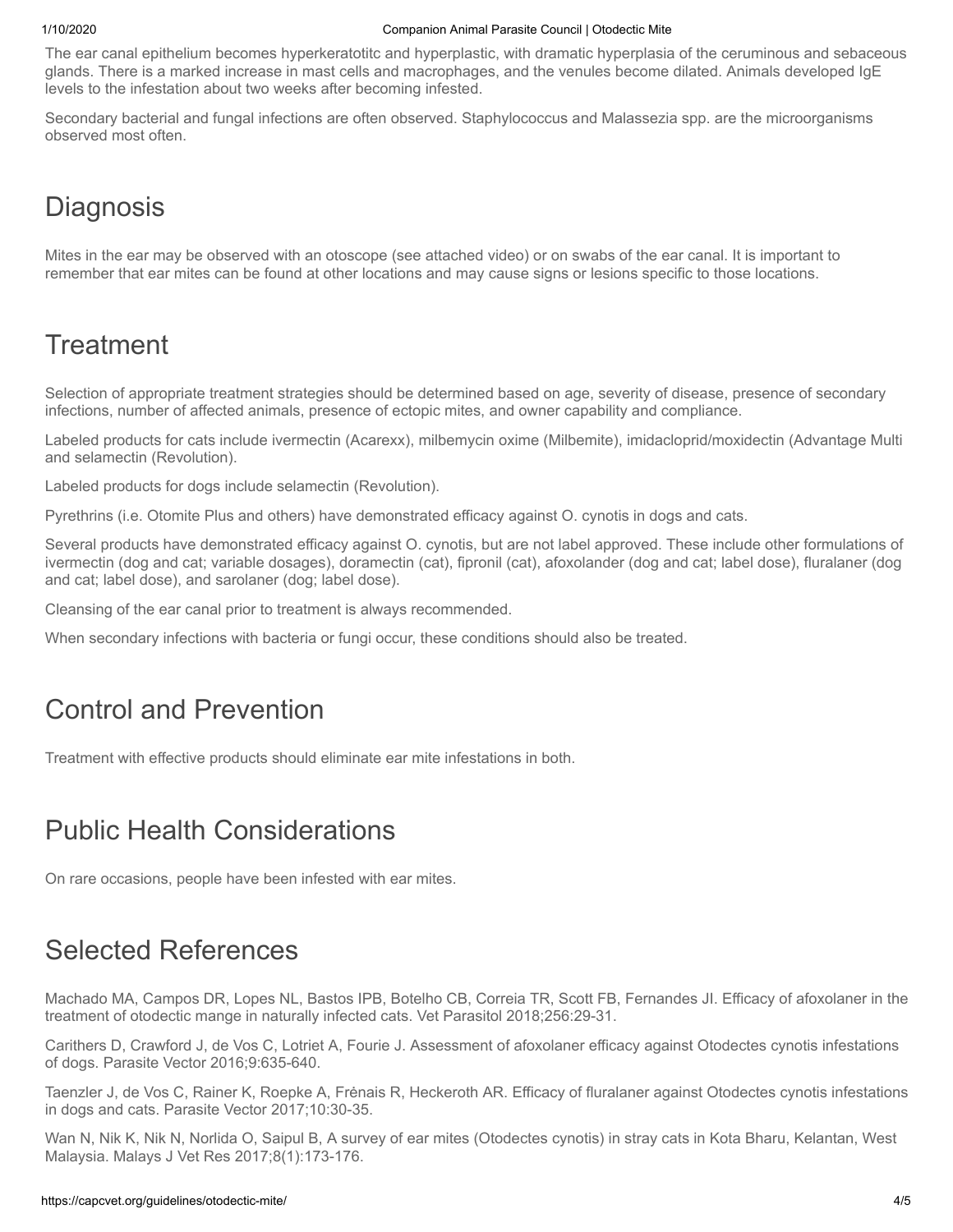The ear canal epithelium becomes hyperkeratotitc and hyperplastic, with dramatic hyperplasia of the ceruminous and sebaceous glands. There is a marked increase in mast cells and macrophages, and the venules become dilated. Animals developed IgE levels to the infestation about two weeks after becoming infested.

Secondary bacterial and fungal infections are often observed. Staphylococcus and Malassezia spp. are the microorganisms observed most often.

## **Diagnosis**

Mites in the ear may be observed with an otoscope (see attached video) or on swabs of the ear canal. It is important to remember that ear mites can be found at other locations and may cause signs or lesions specific to those locations.

# **Treatment**

Selection of appropriate treatment strategies should be determined based on age, severity of disease, presence of secondary infections, number of affected animals, presence of ectopic mites, and owner capability and compliance.

Labeled products for cats include ivermectin (Acarexx), milbemycin oxime (Milbemite), imidacloprid/moxidectin (Advantage Multi and selamectin (Revolution).

Labeled products for dogs include selamectin (Revolution).

Pyrethrins (i.e. Otomite Plus and others) have demonstrated efficacy against O. cynotis in dogs and cats.

Several products have demonstrated efficacy against O. cynotis, but are not label approved. These include other formulations of ivermectin (dog and cat; variable dosages), doramectin (cat), fipronil (cat), afoxolander (dog and cat; label dose), fluralaner (dog and cat; label dose), and sarolaner (dog; label dose).

Cleansing of the ear canal prior to treatment is always recommended.

When secondary infections with bacteria or fungi occur, these conditions should also be treated.

# Control and Prevention

Treatment with effective products should eliminate ear mite infestations in both.

### Public Health Considerations

On rare occasions, people have been infested with ear mites.

# Selected References

Machado MA, Campos DR, Lopes NL, Bastos IPB, Botelho CB, Correia TR, Scott FB, Fernandes JI. Efficacy of afoxolaner in the treatment of otodectic mange in naturally infected cats. Vet Parasitol 2018;256:29-31.

Carithers D, Crawford J, de Vos C, Lotriet A, Fourie J. Assessment of afoxolaner efficacy against Otodectes cynotis infestations of dogs. Parasite Vector 2016;9:635-640.

Taenzler J, de Vos C, Rainer K, Roepke A, Frėnais R, Heckeroth AR. Efficacy of fluralaner against Otodectes cynotis infestations in dogs and cats. Parasite Vector 2017;10:30-35.

Wan N, Nik K, Nik N, Norlida O, Saipul B, A survey of ear mites (Otodectes cynotis) in stray cats in Kota Bharu, Kelantan, West Malaysia. Malays J Vet Res 2017;8(1):173-176.